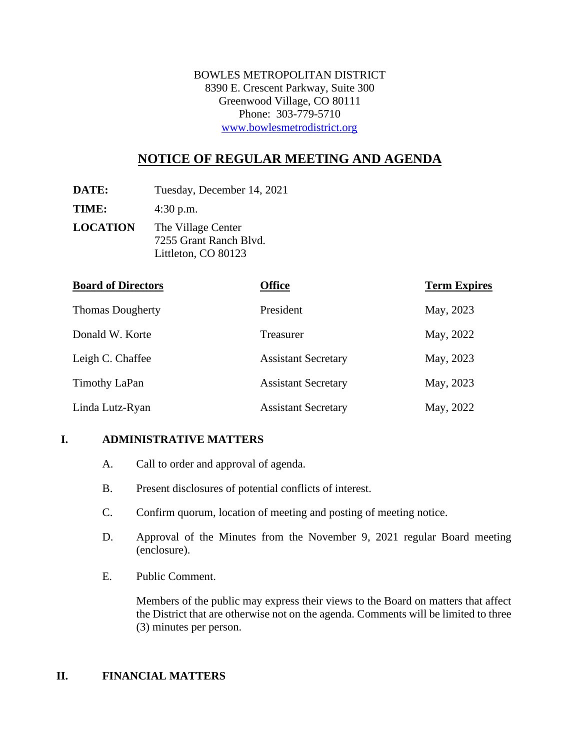BOWLES METROPOLITAN DISTRICT 8390 E. Crescent Parkway, Suite 300 Greenwood Village, CO 80111 Phone: 303-779-5710 [www.bowlesmetrodistrict.org](http://www.bowlesmetrodistrict.org/) 

# **NOTICE OF REGULAR MEETING AND AGENDA**

**DATE:** Tuesday, December 14, 2021

**TIME:** 4:30 p.m.

**LOCATION** The Village Center 7255 Grant Ranch Blvd. Littleton, CO 80123

| <b>Board of Directors</b> | <b>Office</b>              | <b>Term Expires</b> |
|---------------------------|----------------------------|---------------------|
| <b>Thomas Dougherty</b>   | President                  | May, 2023           |
| Donald W. Korte           | Treasurer                  | May, 2022           |
| Leigh C. Chaffee          | <b>Assistant Secretary</b> | May, 2023           |
| Timothy LaPan             | <b>Assistant Secretary</b> | May, 2023           |
| Linda Lutz-Ryan           | <b>Assistant Secretary</b> | May, 2022           |

## **I. ADMINISTRATIVE MATTERS**

- A. Call to order and approval of agenda.
- B. Present disclosures of potential conflicts of interest.
- C. Confirm quorum, location of meeting and posting of meeting notice.
- D. Approval of the Minutes from the November 9, 2021 regular Board meeting (enclosure).
- E. Public Comment.

Members of the public may express their views to the Board on matters that affect the District that are otherwise not on the agenda. Comments will be limited to three (3) minutes per person.

#### **II. FINANCIAL MATTERS**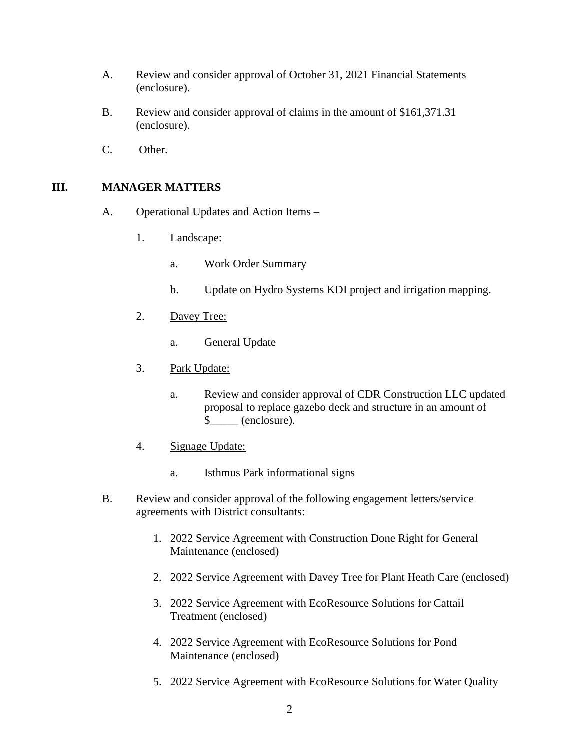- A. Review and consider approval of October 31, 2021 Financial Statements (enclosure).
- B. Review and consider approval of claims in the amount of \$161,371.31 (enclosure).
- C. Other.

## **III. MANAGER MATTERS**

- A. Operational Updates and Action Items
	- 1. Landscape:
		- a. Work Order Summary
		- b. Update on Hydro Systems KDI project and irrigation mapping.
	- 2. Davey Tree:
		- a. General Update
	- 3. Park Update:
		- a. Review and consider approval of CDR Construction LLC updated proposal to replace gazebo deck and structure in an amount of \$\_\_\_\_\_ (enclosure).
	- 4. Signage Update:
		- a. Isthmus Park informational signs
- B. Review and consider approval of the following engagement letters/service agreements with District consultants:
	- 1. 2022 Service Agreement with Construction Done Right for General Maintenance (enclosed)
	- 2. 2022 Service Agreement with Davey Tree for Plant Heath Care (enclosed)
	- 3. 2022 Service Agreement with EcoResource Solutions for Cattail Treatment (enclosed)
	- 4. 2022 Service Agreement with EcoResource Solutions for Pond Maintenance (enclosed)
	- 5. 2022 Service Agreement with EcoResource Solutions for Water Quality